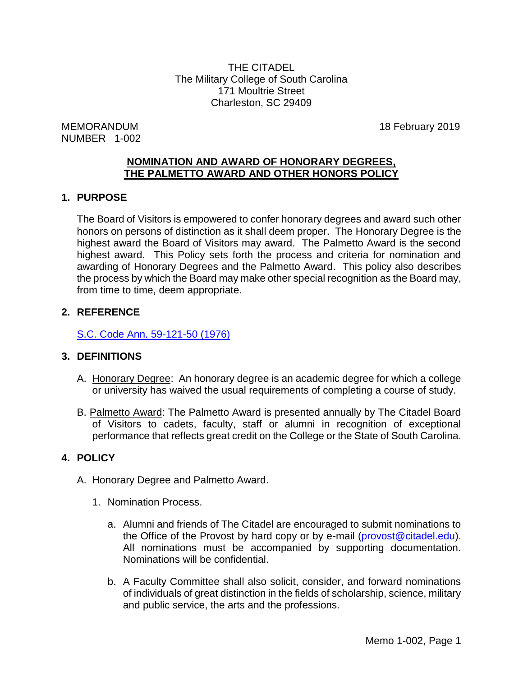THE CITADEL The Military College of South Carolina 171 Moultrie Street Charleston, SC 29409

MEMORANDUM 18 February 2019 NUMBER 1-002

## **NOMINATION AND AWARD OF HONORARY DEGREES, THE PALMETTO AWARD AND OTHER HONORS POLICY**

# **1. PURPOSE**

The Board of Visitors is empowered to confer honorary degrees and award such other honors on persons of distinction as it shall deem proper. The Honorary Degree is the highest award the Board of Visitors may award. The Palmetto Award is the second highest award. This Policy sets forth the process and criteria for nomination and awarding of Honorary Degrees and the Palmetto Award. This policy also describes the process by which the Board may make other special recognition as the Board may, from time to time, deem appropriate.

# **2. REFERENCE**

[S.C. Code Ann. 59-121-50 \(1976\)](http://www.scstatehouse.gov/code/t59c121.php)

# **3. DEFINITIONS**

- A. Honorary Degree: An honorary degree is an academic degree for which a college or university has waived the usual requirements of completing a course of study.
- B. Palmetto Award: The Palmetto Award is presented annually by The Citadel Board of Visitors to cadets, faculty, staff or alumni in recognition of exceptional performance that reflects great credit on the College or the State of South Carolina.

# **4. POLICY**

- A. Honorary Degree and Palmetto Award.
	- 1. Nomination Process.
		- a. Alumni and friends of The Citadel are encouraged to submit nominations to the Office of the Provost by hard copy or by e-mail [\(provost@citadel.edu\)](mailto:provost@citadel.edu). All nominations must be accompanied by supporting documentation. Nominations will be confidential.
		- b. A Faculty Committee shall also solicit, consider, and forward nominations of individuals of great distinction in the fields of scholarship, science, military and public service, the arts and the professions.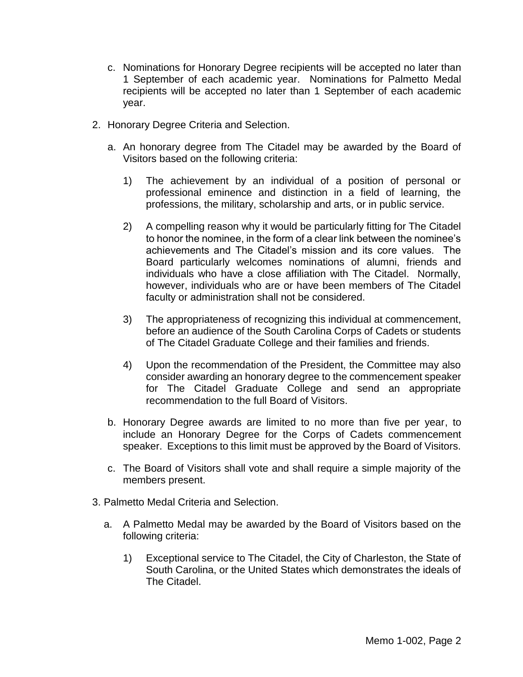- c. Nominations for Honorary Degree recipients will be accepted no later than 1 September of each academic year. Nominations for Palmetto Medal recipients will be accepted no later than 1 September of each academic year.
- 2. Honorary Degree Criteria and Selection.
	- a. An honorary degree from The Citadel may be awarded by the Board of Visitors based on the following criteria:
		- 1) The achievement by an individual of a position of personal or professional eminence and distinction in a field of learning, the professions, the military, scholarship and arts, or in public service.
		- 2) A compelling reason why it would be particularly fitting for The Citadel to honor the nominee, in the form of a clear link between the nominee's achievements and The Citadel's mission and its core values. The Board particularly welcomes nominations of alumni, friends and individuals who have a close affiliation with The Citadel. Normally, however, individuals who are or have been members of The Citadel faculty or administration shall not be considered.
		- 3) The appropriateness of recognizing this individual at commencement, before an audience of the South Carolina Corps of Cadets or students of The Citadel Graduate College and their families and friends.
		- 4) Upon the recommendation of the President, the Committee may also consider awarding an honorary degree to the commencement speaker for The Citadel Graduate College and send an appropriate recommendation to the full Board of Visitors.
	- b. Honorary Degree awards are limited to no more than five per year, to include an Honorary Degree for the Corps of Cadets commencement speaker. Exceptions to this limit must be approved by the Board of Visitors.
	- c. The Board of Visitors shall vote and shall require a simple majority of the members present.
- 3. Palmetto Medal Criteria and Selection.
	- a. A Palmetto Medal may be awarded by the Board of Visitors based on the following criteria:
		- 1) Exceptional service to The Citadel, the City of Charleston, the State of South Carolina, or the United States which demonstrates the ideals of The Citadel.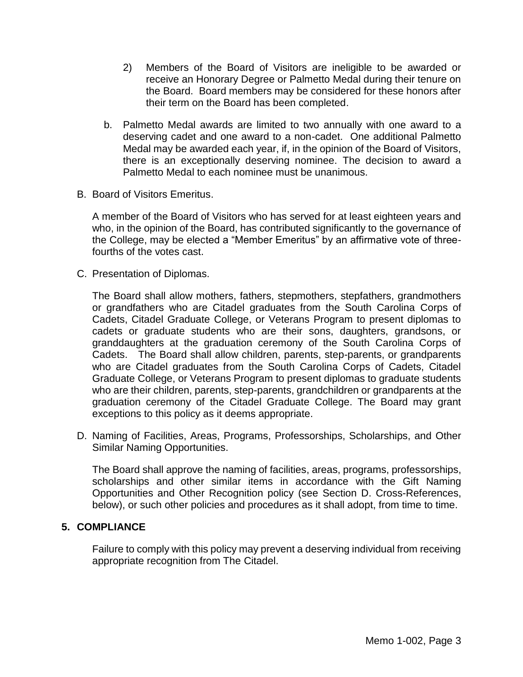- 2) Members of the Board of Visitors are ineligible to be awarded or receive an Honorary Degree or Palmetto Medal during their tenure on the Board. Board members may be considered for these honors after their term on the Board has been completed.
- b. Palmetto Medal awards are limited to two annually with one award to a deserving cadet and one award to a non-cadet. One additional Palmetto Medal may be awarded each year, if, in the opinion of the Board of Visitors, there is an exceptionally deserving nominee. The decision to award a Palmetto Medal to each nominee must be unanimous.
- B. Board of Visitors Emeritus.

A member of the Board of Visitors who has served for at least eighteen years and who, in the opinion of the Board, has contributed significantly to the governance of the College, may be elected a "Member Emeritus" by an affirmative vote of threefourths of the votes cast.

C. Presentation of Diplomas.

The Board shall allow mothers, fathers, stepmothers, stepfathers, grandmothers or grandfathers who are Citadel graduates from the South Carolina Corps of Cadets, Citadel Graduate College, or Veterans Program to present diplomas to cadets or graduate students who are their sons, daughters, grandsons, or granddaughters at the graduation ceremony of the South Carolina Corps of Cadets. The Board shall allow children, parents, step-parents, or grandparents who are Citadel graduates from the South Carolina Corps of Cadets, Citadel Graduate College, or Veterans Program to present diplomas to graduate students who are their children, parents, step-parents, grandchildren or grandparents at the graduation ceremony of the Citadel Graduate College. The Board may grant exceptions to this policy as it deems appropriate.

D. Naming of Facilities, Areas, Programs, Professorships, Scholarships, and Other Similar Naming Opportunities.

The Board shall approve the naming of facilities, areas, programs, professorships, scholarships and other similar items in accordance with the Gift Naming Opportunities and Other Recognition policy (see Section D. Cross-References, below), or such other policies and procedures as it shall adopt, from time to time.

## **5. COMPLIANCE**

Failure to comply with this policy may prevent a deserving individual from receiving appropriate recognition from The Citadel.